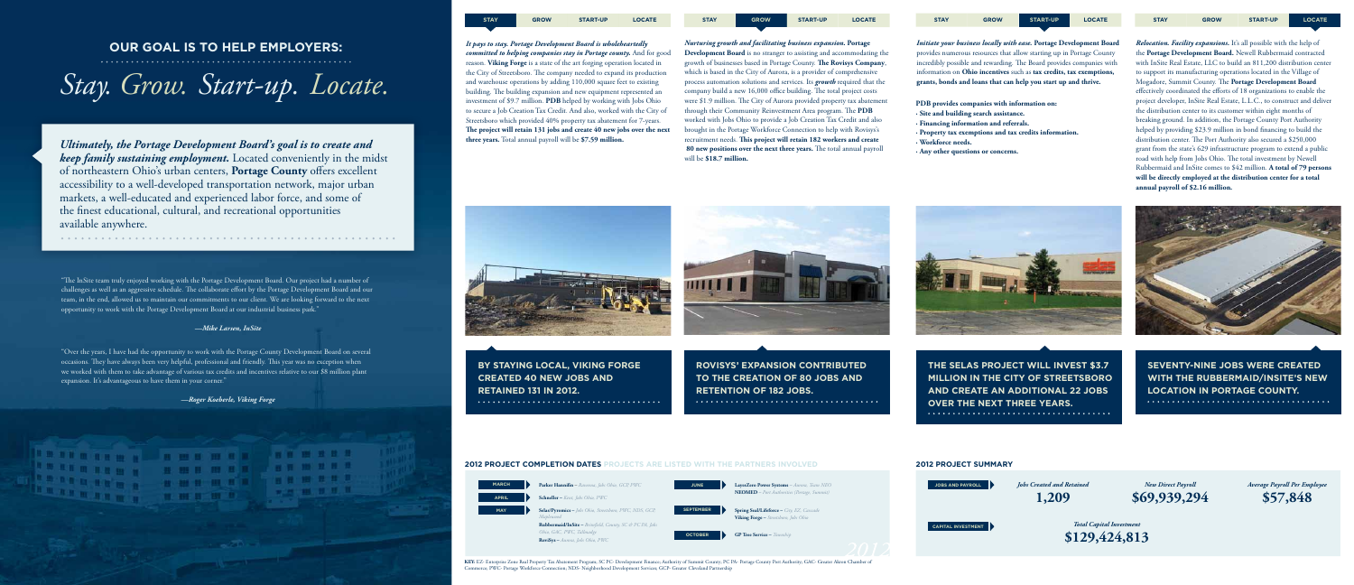*Ultimately, the Portage Development Board's goal is to create and keep family sustaining employment.* Located conveniently in the midst of northeastern Ohio's urban centers, **Portage County** offers excellent accessibility to a well-developed transportation network, major urban markets, a well-educated and experienced labor force, and some of the finest educational, cultural, and recreational opportunities available anywhere.

. . . . . . .

## *Stay. Grow. Start-up. Locate.*

#### **OUR GOAL IS TO HELP EMPLOYERS:**



*Relocation. Facility expansions.* It's all possible with the help of the **Portage Development Board.** Newell Rubbermaid contracted with InSite Real Estate, LLC to build an 811,200 distribution center to support its manufacturing operations located in the Village of Mogadore, Summit County. The **Portage Development Board**  effectively coordinated the efforts of 18 organizations to enable the project developer, InSite Real Estate, L.L.C., to construct and deliver the distribution center to its customer within eight months of breaking ground. In addition, the Portage County Port Authority helped by providing \$23.9 million in bond financing to build the distribution center. The Port Authority also secured a \$250,000 grant from the state's 629 infrastructure program to extend a public road with help from Jobs Ohio. The total investment by Newell Rubbermaid and InSite comes to \$42 million. **A total of 79 persons will be directly employed at the distribution center for a total annual payroll of \$2.16 million.**



**SEVENTY-NINE JOBS WERE CREATED WITH THE RUBBERMAID/INSITE'S NEW LOCATION IN PORTAGE COUNTY.** 

*Initiate your business locally with ease.* **Portage Development Board**  provides numerous resources that allow starting up in Portage County incredibly possible and rewarding. The Board provides companies with information on **Ohio incentives** such as **tax credits, tax exemptions, grants, bonds and loans that can help you start up and thrive.**

**THE SELAS PROJECT WILL INVEST \$3.7 MILLION IN THE CITY OF STREETSBORO AND CREATE AN ADDITIONAL 22 JOBS OVER THE NEXT THREE YEARS.**

#### **2012 PROJECT COMPLETION DATES PROJECTS ARE LISTED WITH THE PARTNERS INVOLVED**



*Nurturing growth and facilitating business expansion.* **Portage Development Board** is no stranger to assisting and accommodating the growth of businesses based in Portage County. **The Rovisys Company**, which is based in the City of Aurora, is a provider of comprehensive process automation solutions and services. Its *growth* required that the company build a new 16,000 office building. The total project costs were \$1.9 million. The City of Aurora provided property tax abatement through their Community Reinvestment Area program. The **PDB** worked with Jobs Ohio to provide a Job Creation Tax Credit and also brought in the Portage Workforce Connection to help with Rovisys's recruitment needs. **This project will retain 182 workers and create 80 new positions over the next three years.** The total annual payroll will be **\$18.7 million.**

**ROVISYS' EXPANSION CONTRIBUTED TO THE CREATION OF 80 JOBS AND RETENTION OF 182 JOBS.** 



*It pays to stay. Portage Development Board is wholeheartedly committed to helping companies stay in Portage county.* And for good reason. **Viking Forge** is a state of the art forging operation located in the City of Streetsboro. The company needed to expand its production and warehouse operations by adding 110,000 square feet to existing building. The building expansion and new equipment represented an investment of \$9.7 million. **PDB** helped by working with Jobs Ohio to secure a Job Creation Tax Credit. And also, worked with the City of Streetsboro which provided 40% property tax abatement for 7-years. **The project will retain 131 jobs and create 40 new jobs over the next three years.** Total annual payroll will be **\$7.59 million.**



**BY STAYING LOCAL, VIKING FORGE CREATED 40 NEW JOBS AND RETAINED 131 IN 2012.** 

**MARCH Parker Hannifin** – *Ravenna, Jobs Ohio, GCP, PWC*

**APRIL Schneller –** *Kent, Jobs Ohio, PWC*

**MAY Selas/Pyromics –** *Jobs Ohio, Streetsboro, PWC, NDS, GCP, Maplewood*

> **Rubbermaid/InSite –** *Brimfield, County, SC & PC PA, Jobs Ohio, GAC, PWC, Tallmadge* **RoviSys –** *Aurora, Jobs Ohio, PWC*



#### **2012 PROJECT SUMMARY**









"The InSite team truly enjoyed working with the Portage Development Board. Our project had a number of challenges as well as an aggressive schedule. The collaborate effort by the Portage Development Board and our team, in the end, allowed us to maintain our commitments to our client. We are looking forward to the next opportunity to work with the Portage Development Board at our industrial business park."

#### *—Mike Larsen, InSite*

"Over the years, I have had the opportunity to work with the Portage County Development Board on several occasions. They have always been very helpful, professional and friendly. This year was no exception when we worked with them to take advantage of various tax credits and incentives relative to our \$8 million plant expansion. It's advantageous to have them in your corner."

**B B B H R B** 

**CHOOSE TO THE REAL PROPERTY** 

**B OF B OR D** 

*—Roger Koeberle, Viking Forge*

**KEY:** EZ- Enterprise Zone Real Property Tax Abatement Program; SC PC- Development Finance; Authority of Summit County; PC PA- Portage County Port Authority; GAC- Greater Akron Chamber of Commerce; PWC- Portage Workforce Connection; NDS- Neighborhood Development Services; GCP- Greater Cleveland Partnership

**PDB provides companies with information on:**

- **· Site and building search assistance.**
- **· Financing information and referrals.**
- **· Property tax exemptions and tax credits information.**
- **· Workforce needs.**
- **· Any other questions or concerns.**

**STAY GROW START-UP LOCATE STAY GROW START-UP LOCATE STAY GROW START-UP LOCATE**